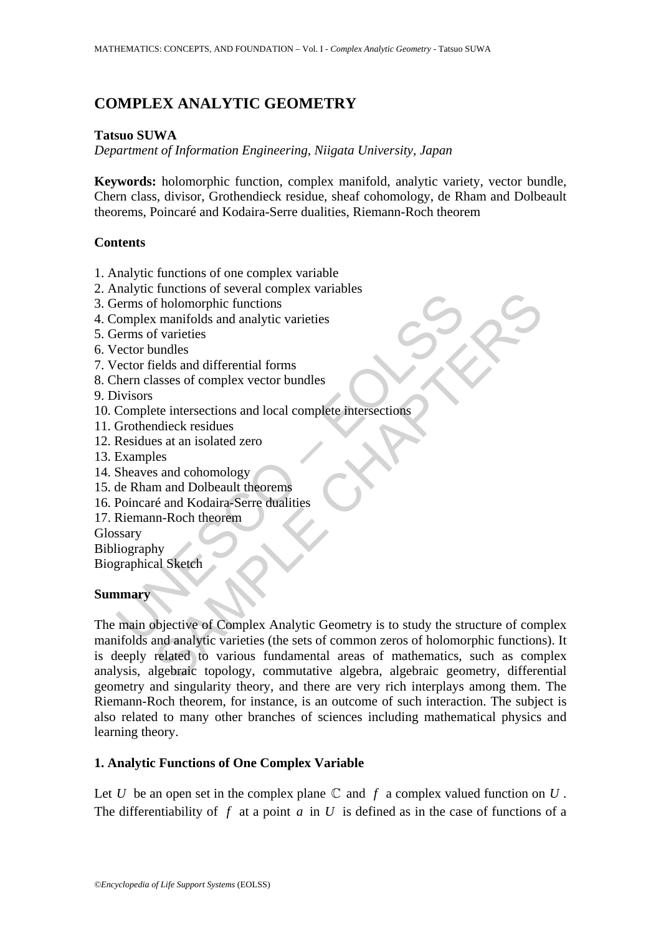# **COMPLEX ANALYTIC GEOMETRY**

## **Tatsuo SUWA**

*Department of Information Engineering, Niigata University, Japan*

**Keywords:** holomorphic function, complex manifold, analytic variety, vector bundle, Chern class, divisor, Grothendieck residue, sheaf cohomology, de Rham and Dolbeault theorems, Poincaré and Kodaira-Serre dualities, Riemann-Roch theorem

## **Contents**

- 1. Analytic functions of one complex variable
- 2. Analytic functions of several complex variables
- 3. Germs of holomorphic functions
- 4. Complex manifolds and analytic varieties
- 5. Germs of varieties
- 6. Vector bundles
- 7. Vector fields and differential forms
- 8. Chern classes of complex vector bundles
- 9. Divisors
- 10. Complete intersections and local complete intersections
- 11. Grothendieck residues
- 12. Residues at an isolated zero
- 13. Examples
- 14. Sheaves and cohomology
- 15. de Rham and Dolbeault theorems
- 16. Poincaré and Kodaira-Serre dualities
- 17. Riemann-Roch theorem

Glossary

Bibliography

Biographical Sketch

## **Summary**

many to the change of bolomorphic functions<br>
interms of bolomorphic functions<br>
(omplex manifolds and analytic varieties<br>
ector fields and differential forms<br>
herm classes of complex vector bundles<br>
livisions<br>
Complete inte Functions<br>
The follomorphic functions<br>
strangules and analytic varieties<br>
f varieties<br>
f varieties<br>
strangules and differential forms<br>
states of complex vector bundles<br>
state intersections and local complete intersections<br> The main objective of Complex Analytic Geometry is to study the structure of complex manifolds and analytic varieties (the sets of common zeros of holomorphic functions). It is deeply related to various fundamental areas of mathematics, such as complex analysis, algebraic topology, commutative algebra, algebraic geometry, differential geometry and singularity theory, and there are very rich interplays among them. The Riemann-Roch theorem, for instance, is an outcome of such interaction. The subject is also related to many other branches of sciences including mathematical physics and learning theory.

## **1. Analytic Functions of One Complex Variable**

Let *U* be an open set in the complex plane  $\mathbb C$  and  $f$  a complex valued function on  $U$ . The differentiability of  $f$  at a point  $a$  in  $U$  is defined as in the case of functions of a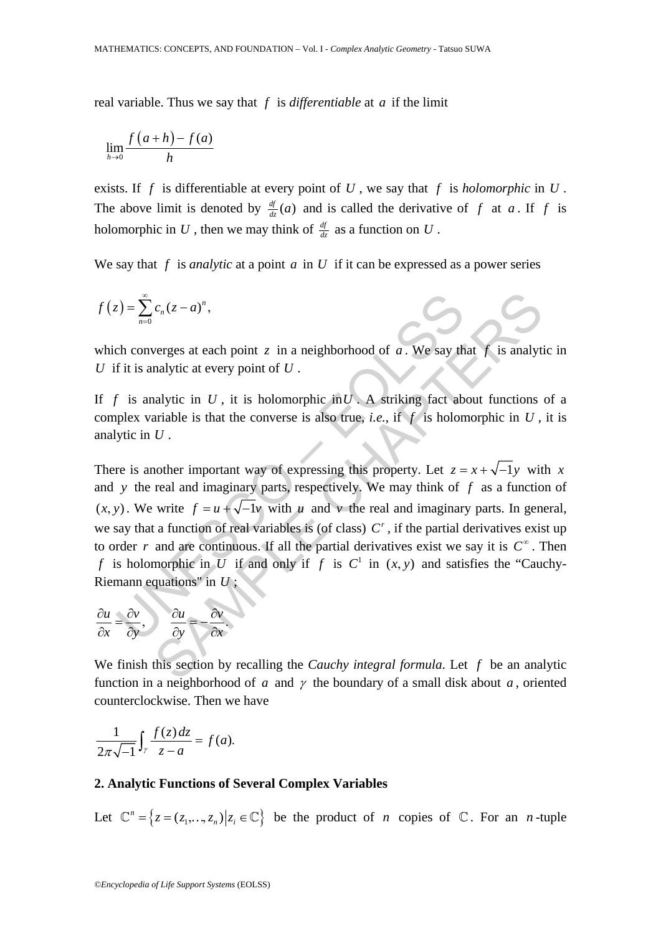real variable. Thus we say that *f* is *differentiable* at *a* if the limit

$$
\lim_{h\to 0}\frac{f(a+h)-f(a)}{h}
$$

exists. If *f* is differentiable at every point of *U* , we say that *f* is *holomorphic* in *U* . The above limit is denoted by  $\frac{df}{dz}(a)$  and is called the derivative of f at a. If f is holomorphic in U, then we may think of  $\frac{df}{dz}$  as a function on U.

We say that  $f$  is *analytic* at a point  $a$  in  $U$  if it can be expressed as a power series

$$
f(z) = \sum_{n=0}^{\infty} c_n (z - a)^n,
$$

which converges at each point  $z$  in a neighborhood of  $a$ . We say that  $f$  is analytic in *U* if it is analytic at every point of *U* .

If *f* is analytic in *U*, it is holomorphic in *U*. A striking fact about functions of a complex variable is that the converse is also true, *i.e.*, if  $f$  is holomorphic in  $U$ , it is analytic in *U* .

 $E_z = \sum_{n=0}^{\infty} c_n (z-a)^n$ ,<br>
ch converges at each point z in a neighborhood of a. We say then<br>
f it is analytic in U, it is holomorphic in U. A striking fact ab<br>
plex variable is that the converse is also true, *i.e.*, if f  $c_n(z-a)^n$ ,<br>
verges at each point z in a neighborhood of a. We say that f is analyti<br>
malytic at every point of U.<br>
alytic in U, it is holomorphic in U. A striking fact about functions<br>
ariable is that the converse is also There is another important way of expressing this property. Let  $z = x + \sqrt{-1}y$  with *x* and *y* the real and imaginary parts, respectively. We may think of *f* as a function of  $(x, y)$ . We write  $f = u + \sqrt{-1}v$  with *u* and *v* the real and imaginary parts. In general, we say that a function of real variables is (of class)  $C^r$ , if the partial derivatives exist up to order *r* and are continuous. If all the partial derivatives exist we say it is  $C^{\infty}$ . Then *f* is holomorphic in *U* if and only if *f* is  $C^1$  in  $(x, y)$  and satisfies the "Cauchy-Riemann equations" in *U* ;

$$
\frac{\partial u}{\partial x} = \frac{\partial v}{\partial y}, \qquad \frac{\partial u}{\partial y} = -\frac{\partial v}{\partial x}.
$$

We finish this section by recalling the *Cauchy integral formula*. Let *f* be an analytic function in a neighborhood of *a* and  $\gamma$  the boundary of a small disk about *a*, oriented counterclockwise. Then we have

$$
\frac{1}{2\pi\sqrt{-1}}\int_{\gamma}\frac{f(z)dz}{z-a}=f(a).
$$

#### **2. Analytic Functions of Several Complex Variables**

Let  $\mathbb{C}^n = \{ z = (z_1, ..., z_n) | z_i \in \mathbb{C} \}$  be the product of *n* copies of  $\mathbb{C}$ . For an *n*-tuple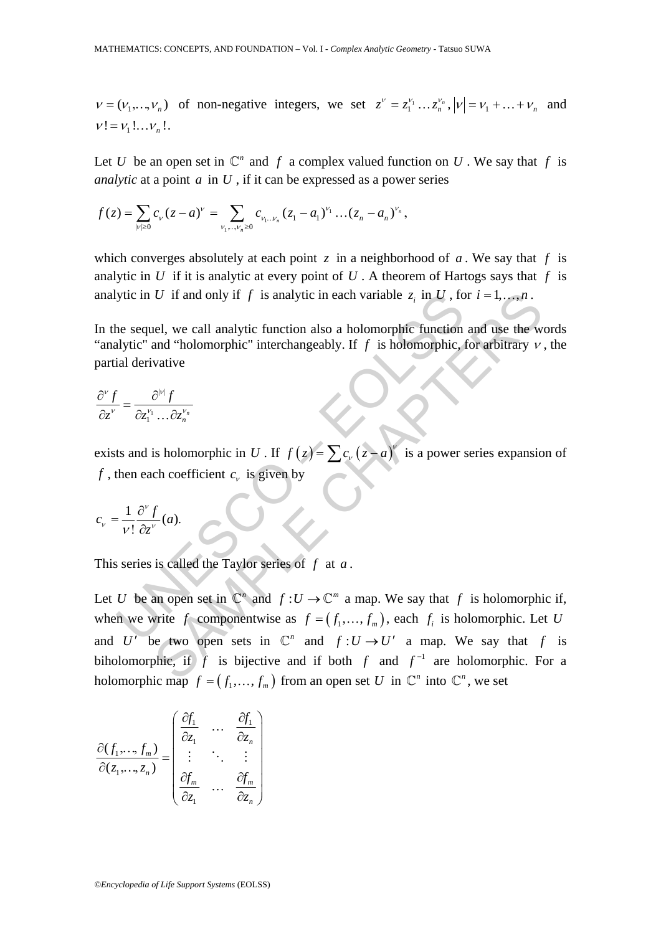$v = (v_1, \dots, v_n)$  of non-negative integers, we set  $z^v = z_1^{v_1} \dots z_n^{v_n}$ ,  $|v| = v_1 + \dots + v_n$  and  $v! = v_1! \dots v_n!$ .

Let *U* be an open set in  $\mathbb{C}^n$  and *f* a complex valued function on *U*. We say that *f* is *analytic* at a point *a* in *U* , if it can be expressed as a power series

$$
f(z) = \sum_{|\nu| \geq 0} c_{\nu} (z - a)^{\nu} = \sum_{\nu_1, \dots, \nu_n \geq 0} c_{\nu_1 \dots \nu_n} (z_1 - a_1)^{\nu_1} \dots (z_n - a_n)^{\nu_n},
$$

which converges absolutely at each point  $\zeta$  in a neighborhood of  $\alpha$ . We say that  $f$  is analytic in *U* if it is analytic at every point of *U*. A theorem of Hartogs says that  $f$  is analytic in *U* if and only if *f* is analytic in each variable  $z_i$  in *U*, for  $i = 1, ..., n$ .

In the sequel, we call analytic function also a holomorphic function and use the words "analytic" and "holomorphic" interchangeably. If  $f$  is holomorphic, for arbitrary  $v$ , the partial derivative

$$
\frac{\partial^{\nu} f}{\partial z^{\nu}} = \frac{\partial^{\vert \nu \vert} f}{\partial z_1^{\nu_1} \dots \partial z_n^{\nu_n}}
$$

exists and is holomorphic in *U*. If  $f(z) = \sum c_v (z - a)^v$  is a power series expansion of *f*, then each coefficient  $c_v$  is given by

$$
c_{v} = \frac{1}{v!} \frac{\partial^{v} f}{\partial z^{v}}(a).
$$

This series is called the Taylor series of *f* at *a* .

ytic in *U* if and only if *f* is analytic in each variable  $z_i$  in *U*, for<br>
the sequel, we call analytic function also a holomorphic function<br>
allytic" and "holomorphic" interchangeably. If *f* is holomorphic,<br>
ial deri U if and only if f is analytic in each variable  $z_i$  in U, for  $i = 1, ..., n$ .<br>
Lel, we call analytic function also a holomorphic function and use the wand "holomorphic" interchangeably. If f is holomorphic, for arbitrary v<br>
v Let *U* be an open set in  $\mathbb{C}^n$  and  $f : U \to \mathbb{C}^m$  a map. We say that *f* is holomorphic if, when we write *f* componentwise as  $f = (f_1, \ldots, f_m)$ , each  $f_i$  is holomorphic. Let *U* and *U'* be two open sets in  $\mathbb{C}^n$  and  $f : U \rightarrow U'$  a map. We say that *f* is biholomorphic, if *f* is bijective and if both *f* and  $f^{-1}$  are holomorphic. For a holomorphic map  $f = (f_1, ..., f_m)$  from an open set *U* in  $\mathbb{C}^n$  into  $\mathbb{C}^n$ , we set

$$
\frac{\partial(f_1, ..., f_m)}{\partial(z_1, ..., z_n)} = \begin{pmatrix} \frac{\partial f_1}{\partial z_1} & \cdots & \frac{\partial f_1}{\partial z_n} \\ \vdots & \ddots & \vdots \\ \frac{\partial f_m}{\partial z_1} & \cdots & \frac{\partial f_m}{\partial z_n} \end{pmatrix}
$$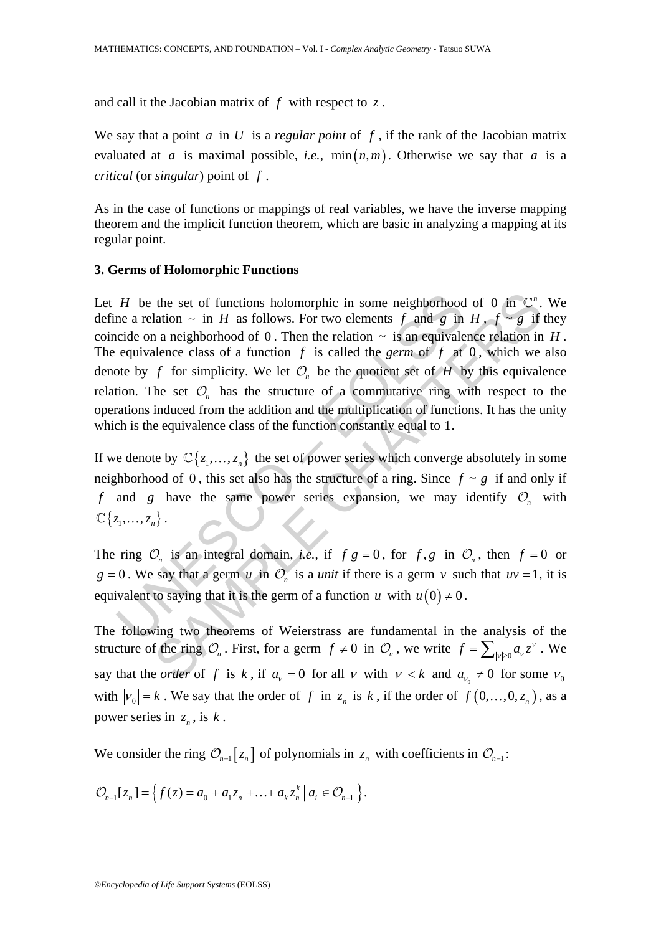and call it the Jacobian matrix of *f* with respect to *z* .

We say that a point *a* in *U* is a *regular point* of *f* , if the rank of the Jacobian matrix evaluated at *a* is maximal possible, *i.e.*,  $\min(n,m)$ . Otherwise we say that *a* is a *critical* (or *singular*) point of *f* .

As in the case of functions or mappings of real variables, we have the inverse mapping theorem and the implicit function theorem, which are basic in analyzing a mapping at its regular point.

#### **3. Germs of Holomorphic Functions**

*H* be the set of functions holomorphic in some neighborhood<br>ne a relation ~ in *H* as follows. For two elements *f* and *g* in<br>cide on a neighborhood of 0. Then the relation ~ is an equivale<br>equivalence class of a functi the set of functions holomorphic in some neighborhood of 0 in  $\mathbb{C}^n$ .<br>
lation  $\sim$  in *H* as follows. For two elements *f* and *g* in *H*,  $f \sim g$  if<br>
a n aneighborhood of 0. Then the relation  $\sim$  is an equivalence re Let *H* be the set of functions holomorphic in some neighborhood of 0 in  $\mathbb{C}^n$ . We define a relation ∼ in *H* as follows. For two elements *f* and *g* in *H*, *f* ∼ *g* if they coincide on a neighborhood of 0. Then the relation  $\sim$  is an equivalence relation in *H*. The equivalence class of a function  $f$  is called the *germ* of  $f$  at 0, which we also denote by *f* for simplicity. We let  $\mathcal{O}_n$  be the quotient set of *H* by this equivalence relation. The set  $\mathcal{O}_n$  has the structure of a commutative ring with respect to the operations induced from the addition and the multiplication of functions. It has the unity which is the equivalence class of the function constantly equal to 1.

If we denote by  $\mathbb{C}\{z_1, ..., z_n\}$  the set of power series which converge absolutely in some neighborhood of 0, this set also has the structure of a ring. Since  $f \sim g$  if and only if *f* and *g* have the same power series expansion, we may identify  $O_n$  with  $\mathbb{C} \{ z_1, \ldots, z_n \}$ .

The ring  $\mathcal{O}_n$  is an integral domain, *i.e.*, if  $f g = 0$ , for  $f, g$  in  $\mathcal{O}_n$ , then  $f = 0$  or  $g = 0$ . We say that a germ *u* in  $\mathcal{O}_n$  is a *unit* if there is a germ *v* such that  $uv = 1$ , it is equivalent to saying that it is the germ of a function *u* with  $u(0) \neq 0$ .

The following two theorems of Weierstrass are fundamental in the analysis of the structure of the ring  $\mathcal{O}_n$ . First, for a germ  $f \neq 0$  in  $\mathcal{O}_n$ , we write  $f = \sum_{|\nu| \geq 0} a_{\nu} z^{\nu}$ . We say that the *order* of f is k, if  $a_v = 0$  for all v with  $|v| < k$  and  $a_v \neq 0$  for some  $v_0$ with  $|v_0| = k$ . We say that the order of *f* in  $z_n$  is *k*, if the order of  $f(0, \ldots, 0, z_n)$ , as a power series in  $z_n$ , is  $k$ .

We consider the ring  $\mathcal{O}_{n-1}[z_n]$  of polynomials in  $z_n$  with coefficients in  $\mathcal{O}_{n-1}$ :

$$
\mathcal{O}_{n-1}[z_n] = \left\{ f(z) = a_0 + a_1 z_n + \ldots + a_k z_n^k \, \big| \, a_i \in \mathcal{O}_{n-1} \right\}.
$$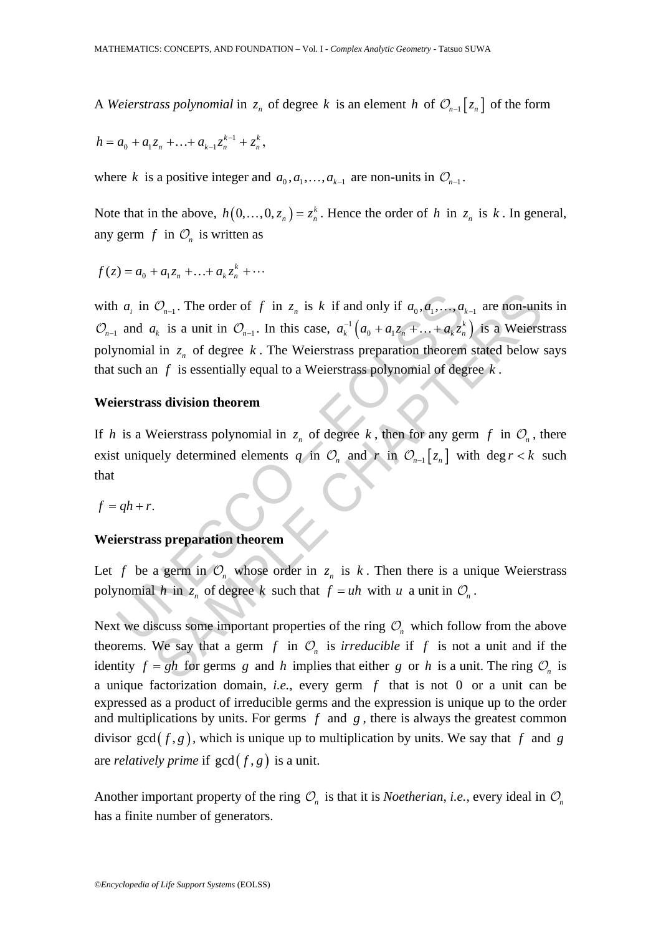A *Weierstrass polynomial* in  $z_n$  of degree k is an element h of  $\mathcal{O}_{n-1}[z_n]$  of the form

$$
h = a_0 + a_1 z_n + \ldots + a_{k-1} z_n^{k-1} + z_n^k,
$$

where *k* is a positive integer and  $a_0, a_1, \ldots, a_{k-1}$  are non-units in  $\mathcal{O}_{n-1}$ .

Note that in the above,  $h(0, \ldots, 0, z_n) = z_n^k$ . Hence the order of *h* in  $z_n$  is *k*. In general, any germ  $f$  in  $\mathcal{O}_n$  is written as

$$
f(z) = a_0 + a_1 z_n + \dots + a_k z_n^k + \dots
$$

and  $a_i$  in  $\mathcal{O}_{n-1}$ . The order of f in  $z_n$  is k if and only if  $a_0$ ,  $a_1$ ,  $\ldots$ ,  $a_k$  and  $a_k$  is a unit in  $\mathcal{O}_{n-1}$ . In this case,  $a_k^{-1}(a_0 + a_1z_n + \ldots + a_kz_n^k)$  momial in  $z_n$  of degree k. The Weierstrass pre  $\mathcal{O}_{n-1}$ . The order of f in  $z_n$  is k if and only if  $a_0, a_1, ..., a_{k-1}$  are non-uni<br>  $n_k$  is a unit in  $\mathcal{O}_{n-1}$ . In this case,  $a_k^{-1}(a_0 + a_1z_n + ... + a_kz_n^k)$  is a Weierst<br>
in  $z_n$  of degree k. The Weierstrass preparati with  $a_i$  in  $\mathcal{O}_{n-1}$ . The order of f in  $z_n$  is k if and only if  $a_0, a_1, \ldots, a_{k-1}$  are non-units in  $\mathcal{O}_{n-1}$  and  $a_k$  is a unit in  $\mathcal{O}_{n-1}$ . In this case,  $a_k^{-1}\left(a_0 + a_1 z_n + \ldots + a_k z_n^{k}\right)$  $a_k^{-1}\left(a_0 + a_1z_n + \ldots + a_kz_n^{k}\right)$  is a Weierstrass polynomial in  $z_n$  of degree k. The Weierstrass preparation theorem stated below says that such an *f* is essentially equal to a Weierstrass polynomial of degree *k* .

#### **Weierstrass division theorem**

If *h* is a Weierstrass polynomial in  $z_n$  of degree *k*, then for any germ *f* in  $\mathcal{O}_n$ , there exist uniquely determined elements *q* in  $\mathcal{O}_n$  and *r* in  $\mathcal{O}_{n-1}[z_n]$  with deg  $r < k$  such that

 $f = gh + r$ .

### **Weierstrass preparation theorem**

Let *f* be a germ in  $\mathcal{O}_n$  whose order in  $z_n$  is *k*. Then there is a unique Weierstrass polynomial *h* in  $z_n$  of degree *k* such that  $f = uh$  with *u* a unit in  $O_n$ .

Next we discuss some important properties of the ring  $\mathcal{O}_n$  which follow from the above theorems. We say that a germ  $f$  in  $\mathcal{O}_n$  is *irreducible* if  $f$  is not a unit and if the identity  $f = gh$  for germs *g* and *h* implies that either *g* or *h* is a unit. The ring  $O_n$  is a unique factorization domain, *i.e.*, every germ *f* that is not 0 or a unit can be expressed as a product of irreducible germs and the expression is unique up to the order and multiplications by units. For germs  $f$  and  $g$ , there is always the greatest common divisor gcd $(f, g)$ , which is unique up to multiplication by units. We say that f and g are *relatively prime* if  $gcd(f, g)$  is a unit.

Another important property of the ring  $\mathcal{O}_n$  is that it is *Noetherian*, *i.e.*, every ideal in  $\mathcal{O}_n$ has a finite number of generators.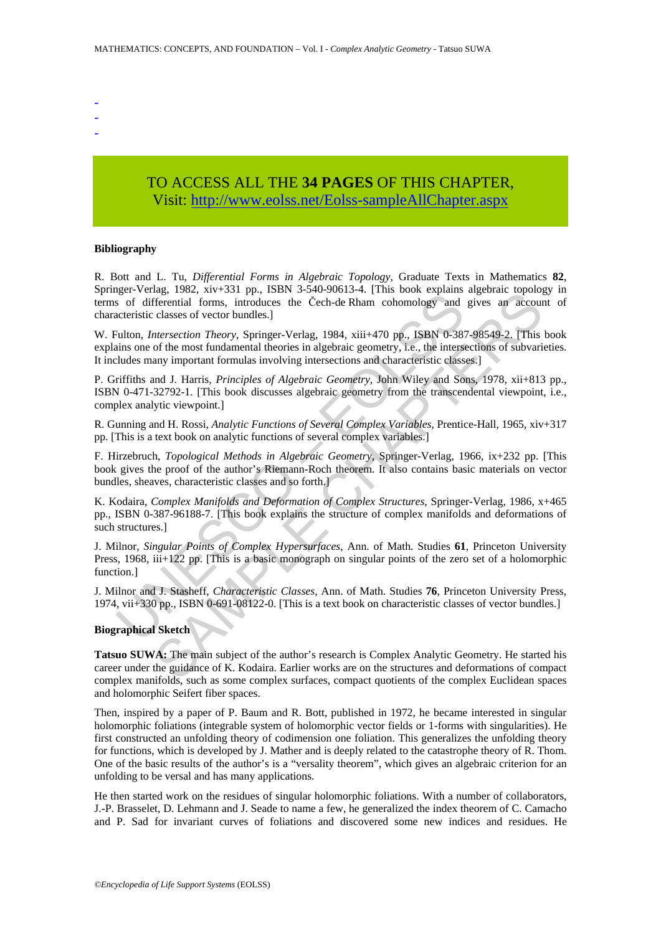- -
- -
- -

## TO ACCESS ALL THE **34 PAGES** OF THIS CHAPTER, Visit[: http://www.eolss.net/Eolss-sampleAllChapter.aspx](https://www.eolss.net/ebooklib/sc_cart.aspx?File=E6-01-03-06)

#### **Bibliography**

R. Bott and L. Tu, *Differential Forms in Algebraic Topology*, Graduate Texts in Mathematics **82**, Springer-Verlag, 1982, xiv+331 pp., ISBN 3-540-90613-4. [This book explains algebraic topology in terms of differential forms, introduces the Čech-de Rham cohomology and gives an account of characteristic classes of vector bundles.]

W. Fulton, *Intersection Theory*, Springer-Verlag, 1984, xiii+470 pp., ISBN 0-387-98549-2. [This book explains one of the most fundamental theories in algebraic geometry, i.e., the intersections of subvarieties. It includes many important formulas involving intersections and characteristic classes.]

P. Griffiths and J. Harris, *Principles of Algebraic Geometry*, John Wiley and Sons, 1978, xii+813 pp., ISBN 0-471-32792-1. [This book discusses algebraic geometry from the transcendental viewpoint, i.e., complex analytic viewpoint.]

R. Gunning and H. Rossi, *Analytic Functions of Several Complex Variables*, Prentice-Hall, 1965, xiv+317 pp. [This is a text book on analytic functions of several complex variables.]

F. Hirzebruch, *Topological Methods in Algebraic Geometry*, Springer-Verlag, 1966, ix+232 pp. [This book gives the proof of the author's Riemann-Roch theorem. It also contains basic materials on vector bundles, sheaves, characteristic classes and so forth.]

guer versag, 1902, an visit proper streament for the and the search streament and the streament streament and the streament of differential forms, introduces the Cech-de Rham cohomology and acteristic classes of vector bun may, 1962, AR+3531 Pp., 1961, SEN-9-90013-4, (118) took explains ageolata topology<br>
deferential forms, introduces the Cech-de Rham cohomology and gives an accouraciveled<br>
classes of vector bundles.]<br> *Metersection Theory*, K. Kodaira, *Complex Manifolds and Deformation of Complex Structures*, Springer-Verlag, 1986, x+465 pp., ISBN 0-387-96188-7. [This book explains the structure of complex manifolds and deformations of such structures.]

J. Milnor, *Singular Points of Complex Hypersurfaces*, Ann. of Math. Studies **61**, Princeton University Press, 1968, iii+122 pp. [This is a basic monograph on singular points of the zero set of a holomorphic function.]

J. Milnor and J. Stasheff, *Characteristic Classes*, Ann. of Math. Studies **76**, Princeton University Press, 1974, vii+330 pp., ISBN 0-691-08122-0. [This is a text book on characteristic classes of vector bundles.]

#### **Biographical Sketch**

**Tatsuo SUWA:** The main subject of the author's research is Complex Analytic Geometry. He started his career under the guidance of K. Kodaira. Earlier works are on the structures and deformations of compact complex manifolds, such as some complex surfaces, compact quotients of the complex Euclidean spaces and holomorphic Seifert fiber spaces.

Then, inspired by a paper of P. Baum and R. Bott, published in 1972, he became interested in singular holomorphic foliations (integrable system of holomorphic vector fields or 1-forms with singularities). He first constructed an unfolding theory of codimension one foliation. This generalizes the unfolding theory for functions, which is developed by J. Mather and is deeply related to the catastrophe theory of R. Thom. One of the basic results of the author's is a "versality theorem", which gives an algebraic criterion for an unfolding to be versal and has many applications.

He then started work on the residues of singular holomorphic foliations. With a number of collaborators, J.-P. Brasselet, D. Lehmann and J. Seade to name a few, he generalized the index theorem of C. Camacho and P. Sad for invariant curves of foliations and discovered some new indices and residues. He